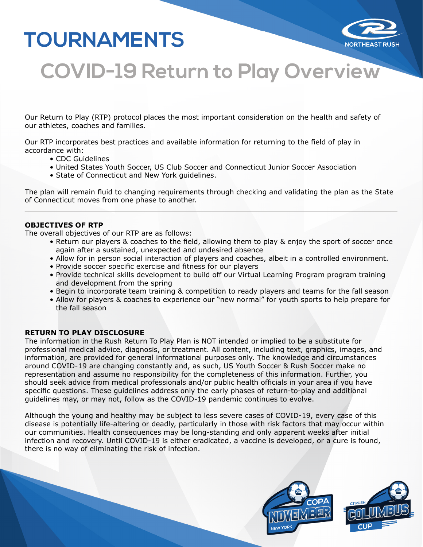

# **COVID-19 Return to Play Overview**

Our Return to Play (RTP) protocol places the most important consideration on the health and safety of our athletes, coaches and families.

Our RTP incorporates best practices and available information for returning to the field of play in accordance with:

- CDC Guidelines
- United States Youth Soccer, US Club Soccer and Connecticut Junior Soccer Association
- State of Connecticut and New York guidelines.

The plan will remain fluid to changing requirements through checking and validating the plan as the State of Connecticut moves from one phase to another.

### **OBJECTIVES OF RTP**

The overall objectives of our RTP are as follows:

- Return our players & coaches to the field, allowing them to play & enjoy the sport of soccer once again after a sustained, unexpected and undesired absence
- Allow for in person social interaction of players and coaches, albeit in a controlled environment.
- Provide soccer specific exercise and fitness for our players
- Provide technical skills development to build off our Virtual Learning Program program training and development from the spring
- Begin to incorporate team training & competition to ready players and teams for the fall season
- Allow for players & coaches to experience our "new normal" for youth sports to help prepare for the fall season

### **RETURN TO PLAY DISCLOSURE**

The information in the Rush Return To Play Plan is NOT intended or implied to be a substitute for professional medical advice, diagnosis, or treatment. All content, including text, graphics, images, and information, are provided for general informational purposes only. The knowledge and circumstances around COVID-19 are changing constantly and, as such, US Youth Soccer & Rush Soccer make no representation and assume no responsibility for the completeness of this information. Further, you should seek advice from medical professionals and/or public health officials in your area if you have specific questions. These guidelines address only the early phases of return-to-play and additional guidelines may, or may not, follow as the COVID-19 pandemic continues to evolve.

Although the young and healthy may be subject to less severe cases of COVID-19, every case of this disease is potentially life-altering or deadly, particularly in those with risk factors that may occur within our communities. Health consequences may be long-standing and only apparent weeks after initial infection and recovery. Until COVID-19 is either eradicated, a vaccine is developed, or a cure is found, there is no way of eliminating the risk of infection.

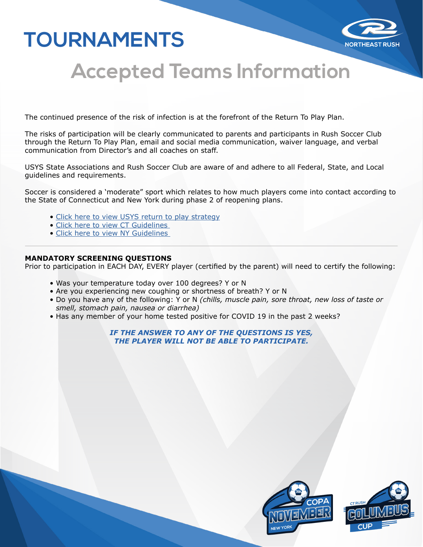

# **Accepted Teams Information**

The continued presence of the risk of infection is at the forefront of the Return To Play Plan.

The risks of participation will be clearly communicated to parents and participants in Rush Soccer Club through the Return To Play Plan, email and social media communication, waiver language, and verbal communication from Director's and all coaches on staff.

USYS State Associations and Rush Soccer Club are aware of and adhere to all Federal, State, and Local guidelines and requirements.

Soccer is considered a 'moderate" sport which relates to how much players come into contact according to the State of Connecticut and New York during phase 2 of reopening plans.

- [Click here to view USYS return to play strategy](https://drive.google.com/file/d/1fxlFXhUJo0Q8tFDHnSuusiPUn4uc1eU7/view)
- [Click here to view CT Guidelines](https://portal.ct.gov/-/media/DECD/Covid_Business_Recovery-Phase-2/Sports_FitnessCenters-_C4_V1.pdf)
- [Click here to view NY Guidelines](https://coronavirus.health.ny.gov/home)

### **MANDATORY SCREENING QUESTIONS**

Prior to participation in EACH DAY, EVERY player (certified by the parent) will need to certify the following:

- Was your temperature today over 100 degrees? Y or N
- Are you experiencing new coughing or shortness of breath? Y or N
- Do you have any of the following: Y or N *(chills, muscle pain, sore throat, new loss of taste or smell, stomach pain, nausea or diarrhea)*
- Has any member of your home tested positive for COVID 19 in the past 2 weeks?

*IF THE ANSWER TO ANY OF THE QUESTIONS IS YES, THE PLAYER WILL NOT BE ABLE TO PARTICIPATE.*

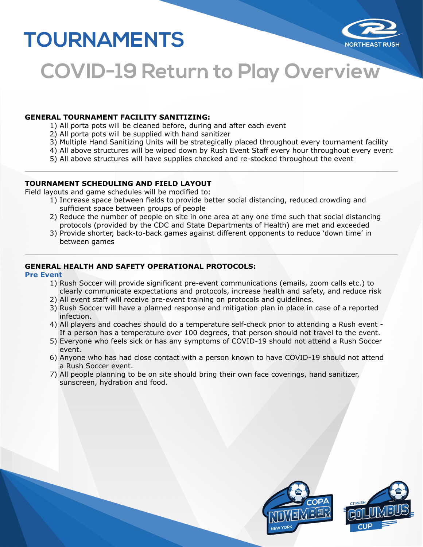

# **COVID-19 Return to Play Overview**

### **GENERAL TOURNAMENT FACILITY SANITIZING:**

- 1) All porta pots will be cleaned before, during and after each event
- 2) All porta pots will be supplied with hand sanitizer
- 3) Multiple Hand Sanitizing Units will be strategically placed throughout every tournament facility
- 4) All above structures will be wiped down by Rush Event Staff every hour throughout every event
- 5) All above structures will have supplies checked and re-stocked throughout the event

#### **TOURNAMENT SCHEDULING AND FIELD LAYOUT**

Field layouts and game schedules will be modified to:

- 1) Increase space between fields to provide better social distancing, reduced crowding and sufficient space between groups of people
- 2) Reduce the number of people on site in one area at any one time such that social distancing protocols (provided by the CDC and State Departments of Health) are met and exceeded
- 3) Provide shorter, back-to-back games against different opponents to reduce 'down time' in between games

### **GENERAL HEALTH AND SAFETY OPERATIONAL PROTOCOLS:**

#### **Pre Event**

- 1) Rush Soccer will provide significant pre-event communications (emails, zoom calls etc.) to clearly communicate expectations and protocols, increase health and safety, and reduce risk
- 2) All event staff will receive pre-event training on protocols and guidelines.
- 3) Rush Soccer will have a planned response and mitigation plan in place in case of a reported infection.
- 4) All players and coaches should do a temperature self-check prior to attending a Rush event If a person has a temperature over 100 degrees, that person should not travel to the event.
- 5) Everyone who feels sick or has any symptoms of COVID-19 should not attend a Rush Soccer event.
- 6) Anyone who has had close contact with a person known to have COVID-19 should not attend a Rush Soccer event.
- 7) All people planning to be on site should bring their own face coverings, hand sanitizer, sunscreen, hydration and food.

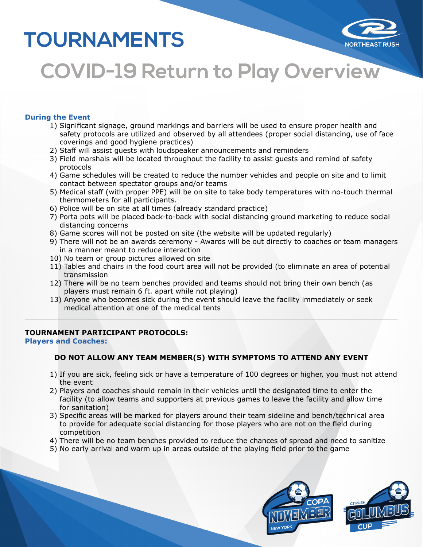

# **COVID-19 Return to Play Overview**

## **During the Event**

- 1) Significant signage, ground markings and barriers will be used to ensure proper health and safety protocols are utilized and observed by all attendees (proper social distancing, use of face coverings and good hygiene practices)
- 2) Staff will assist guests with loudspeaker announcements and reminders
- 3) Field marshals will be located throughout the facility to assist guests and remind of safety protocols
- 4) Game schedules will be created to reduce the number vehicles and people on site and to limit contact between spectator groups and/or teams
- 5) Medical staff (with proper PPE) will be on site to take body temperatures with no-touch thermal thermometers for all participants.
- 6) Police will be on site at all times (already standard practice)
- 7) Porta pots will be placed back-to-back with social distancing ground marketing to reduce social distancing concerns
- 8) Game scores will not be posted on site (the website will be updated regularly)
- 9) There will not be an awards ceremony Awards will be out directly to coaches or team managers in a manner meant to reduce interaction
- 10) No team or group pictures allowed on site
- 11) Tables and chairs in the food court area will not be provided (to eliminate an area of potential transmission
- 12) There will be no team benches provided and teams should not bring their own bench (as players must remain 6 ft. apart while not playing)
- 13) Anyone who becomes sick during the event should leave the facility immediately or seek medical attention at one of the medical tents

## **TOURNAMENT PARTICIPANT PROTOCOLS:**

### **Players and Coaches:**

## **DO NOT ALLOW ANY TEAM MEMBER(S) WITH SYMPTOMS TO ATTEND ANY EVENT**

- 1) If you are sick, feeling sick or have a temperature of 100 degrees or higher, you must not attend the event
- 2) Players and coaches should remain in their vehicles until the designated time to enter the facility (to allow teams and supporters at previous games to leave the facility and allow time for sanitation)
- 3) Specific areas will be marked for players around their team sideline and bench/technical area to provide for adequate social distancing for those players who are not on the field during competition
- 4) There will be no team benches provided to reduce the chances of spread and need to sanitize
- 5) No early arrival and warm up in areas outside of the playing field prior to the game

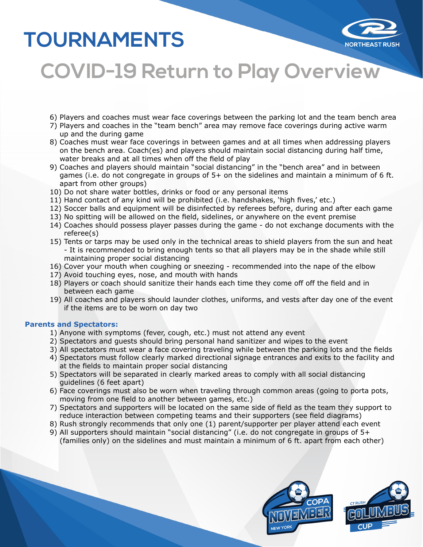

# **COVID-19 Return to Play Overview**

- 6) Players and coaches must wear face coverings between the parking lot and the team bench area
- 7) Players and coaches in the "team bench" area may remove face coverings during active warm up and the during game
- 8) Coaches must wear face coverings in between games and at all times when addressing players on the bench area. Coach(es) and players should maintain social distancing during half time, water breaks and at all times when off the field of play
- 9) Coaches and players should maintain "social distancing" in the "bench area" and in between games (i.e. do not congregate in groups of 5+ on the sidelines and maintain a minimum of 6 ft. apart from other groups)
- 10) Do not share water bottles, drinks or food or any personal items
- 11) Hand contact of any kind will be prohibited (i.e. handshakes, 'high fives,' etc.)
- 12) Soccer balls and equipment will be disinfected by referees before, during and after each game
- 13) No spitting will be allowed on the field, sidelines, or anywhere on the event premise
- 14) Coaches should possess player passes during the game do not exchange documents with the referee(s)
- 15) Tents or tarps may be used only in the technical areas to shield players from the sun and heat - It is recommended to bring enough tents so that all players may be in the shade while still maintaining proper social distancing
- 16) Cover your mouth when coughing or sneezing recommended into the nape of the elbow
- 17) Avoid touching eyes, nose, and mouth with hands
- 18) Players or coach should sanitize their hands each time they come off off the field and in between each game
- 19) All coaches and players should launder clothes, uniforms, and vests after day one of the event if the items are to be worn on day two

### **Parents and Spectators:**

- 1) Anyone with symptoms (fever, cough, etc.) must not attend any event
- 2) Spectators and guests should bring personal hand sanitizer and wipes to the event
- 3) All spectators must wear a face covering traveling while between the parking lots and the fields
- 4) Spectators must follow clearly marked directional signage entrances and exits to the facility and at the fields to maintain proper social distancing
- 5) Spectators will be separated in clearly marked areas to comply with all social distancing guidelines (6 feet apart)
- 6) Face coverings must also be worn when traveling through common areas (going to porta pots, moving from one field to another between games, etc.)
- 7) Spectators and supporters will be located on the same side of field as the team they support to reduce interaction between competing teams and their supporters (see field diagrams)
- 8) Rush strongly recommends that only one (1) parent/supporter per player attend each event
- 9) All supporters should maintain "social distancing" (i.e. do not congregate in groups of 5+ (families only) on the sidelines and must maintain a minimum of 6 ft. apart from each other)

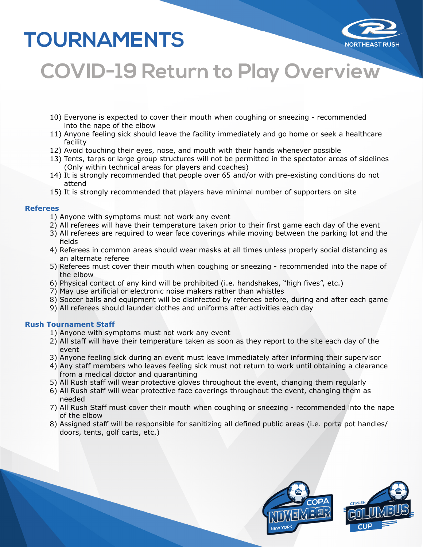

# **COVID-19 Return to Play Overview**

- 10) Everyone is expected to cover their mouth when coughing or sneezing recommended into the nape of the elbow
- 11) Anyone feeling sick should leave the facility immediately and go home or seek a healthcare facility
- 12) Avoid touching their eyes, nose, and mouth with their hands whenever possible
- 13) Tents, tarps or large group structures will not be permitted in the spectator areas of sidelines (Only within technical areas for players and coaches)
- 14) It is strongly recommended that people over 65 and/or with pre-existing conditions do not attend
- 15) It is strongly recommended that players have minimal number of supporters on site

#### **Referees**

- 1) Anyone with symptoms must not work any event
- 2) All referees will have their temperature taken prior to their first game each day of the event
- 3) All referees are required to wear face coverings while moving between the parking lot and the fields
- 4) Referees in common areas should wear masks at all times unless properly social distancing as an alternate referee
- 5) Referees must cover their mouth when coughing or sneezing recommended into the nape of the elbow
- 6) Physical contact of any kind will be prohibited (i.e. handshakes, "high fives", etc.)
- 7) May use artificial or electronic noise makers rather than whistles
- 8) Soccer balls and equipment will be disinfected by referees before, during and after each game
- 9) All referees should launder clothes and uniforms after activities each day

### **Rush Tournament Staff**

- 1) Anyone with symptoms must not work any event
- 2) All staff will have their temperature taken as soon as they report to the site each day of the event
- 3) Anyone feeling sick during an event must leave immediately after informing their supervisor
- 4) Any staff members who leaves feeling sick must not return to work until obtaining a clearance from a medical doctor and quarantining
- 5) All Rush staff will wear protective gloves throughout the event, changing them regularly
- 6) All Rush staff will wear protective face coverings throughout the event, changing them as needed
- 7) All Rush Staff must cover their mouth when coughing or sneezing recommended into the nape of the elbow
- 8) Assigned staff will be responsible for sanitizing all defined public areas (i.e. porta pot handles/ doors, tents, golf carts, etc.)